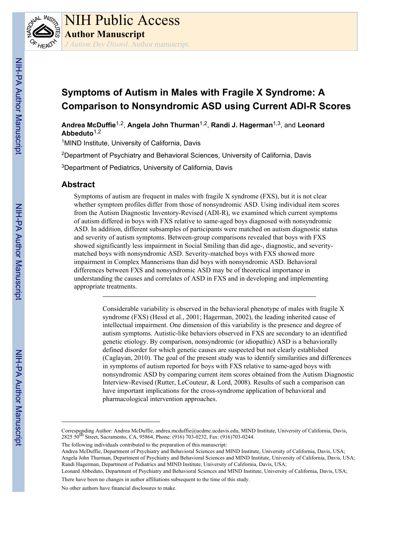

# **Symptoms of Autism in Males with Fragile X Syndrome: A Comparison to Nonsyndromic ASD using Current ADI-R Scores**

**Andrea McDuffie**1,2, **Angela John Thurman**1,2, **Randi J. Hagerman**1,3, and **Leonard Abbeduto**1,2

<sup>1</sup>MIND Institute, University of California, Davis

<sup>2</sup>Department of Psychiatry and Behavioral Sciences, University of California, Davis

<sup>3</sup>Department of Pediatrics, University of California, Davis

# **Abstract**

Symptoms of autism are frequent in males with fragile X syndrome (FXS), but it is not clear whether symptom profiles differ from those of nonsyndromic ASD. Using individual item scores from the Autism Diagnostic Inventory-Revised (ADI-R), we examined which current symptoms of autism differed in boys with FXS relative to same-aged boys diagnosed with nonsyndromic ASD. In addition, different subsamples of participants were matched on autism diagnostic status and severity of autism symptoms. Between-group comparisons revealed that boys with FXS showed significantly less impairment in Social Smiling than did age-, diagnostic, and severitymatched boys with nonsyndromic ASD. Severity-matched boys with FXS showed more impairment in Complex Mannerisms than did boys with nonsyndromic ASD. Behavioral differences between FXS and nonsyndromic ASD may be of theoretical importance in understanding the causes and correlates of ASD in FXS and in developing and implementing appropriate treatments.

> Considerable variability is observed in the behavioral phenotype of males with fragile X syndrome (FXS) (Hessl et al., 2001; Hagerman, 2002), the leading inherited cause of intellectual impairment. One dimension of this variability is the presence and degree of autism symptoms. Autistic-like behaviors observed in FXS are secondary to an identified genetic etiology. By comparison, nonsyndromic (or idiopathic) ASD is a behaviorally defined disorder for which genetic causes are suspected but not clearly established (Caglayan, 2010). The goal of the present study was to identify similarities and differences in symptoms of autism reported for boys with FXS relative to same-aged boys with nonsyndromic ASD by comparing current item scores obtained from the Autism Diagnostic Interview-Revised (Rutter, LeCouteur, & Lord, 2008). Results of such a comparison can have important implications for the cross-syndrome application of behavioral and pharmacological intervention approaches.

The following individuals contributed to the preparation of this manuscript:

Corresponding Author: Andrea McDuffie, andrea.mcduffie@ucdmc.ucdavis.edu, MIND Institute, University of California, Davis, 2825 50th Street, Sacramento, CA, 95864, Phone: (916) 703-0232, Fax: (916)703-0244.

Andrea McDuffie, Department of Psychiatry and Behavioral Sciences and MIND Institute, University of California, Davis, USA; Angela John Thurman, Department of Psychiatry and Behavioral Sciences and MIND Institute, University of California, Davis, USA; Randi Hagerman, Department of Pediatrics and MIND Institute, University of California, Davis, USA;

Leonard Abbeduto, Department of Psychiatry and Behavioral Sciences and MIND Institute, University of California, Davis, USA; There have been no changes in author affiliations subsequent to the time of this study.

No other authors have financial disclosures to make.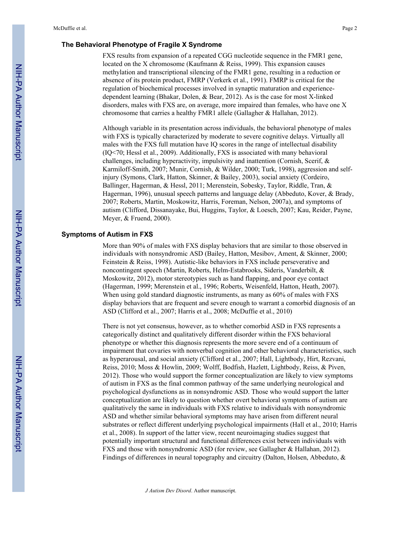## **The Behavioral Phenotype of Fragile X Syndrome**

FXS results from expansion of a repeated CGG nucleotide sequence in the FMR1 gene, located on the X chromosome (Kaufmann & Reiss, 1999). This expansion causes methylation and transcriptional silencing of the FMR1 gene, resulting in a reduction or absence of its protein product, FMRP (Verkerk et al., 1991). FMRP is critical for the regulation of biochemical processes involved in synaptic maturation and experiencedependent learning (Bhakar, Dolen, & Bear, 2012). As is the case for most X-linked disorders, males with FXS are, on average, more impaired than females, who have one X chromosome that carries a healthy FMR1 allele (Gallagher & Hallahan, 2012).

Although variable in its presentation across individuals, the behavioral phenotype of males with FXS is typically characterized by moderate to severe cognitive delays. Virtually all males with the FXS full mutation have IQ scores in the range of intellectual disability (IQ<70; Hessl et al., 2009). Additionally, FXS is associated with many behavioral challenges, including hyperactivity, impulsivity and inattention (Cornish, Scerif, & Karmiloff-Smith, 2007; Munir, Cornish, & Wilder, 2000; Turk, 1998), aggression and selfinjury (Symons, Clark, Hatton, Skinner, & Bailey, 2003), social anxiety (Cordeiro, Ballinger, Hagerman, & Hessl, 2011; Merenstein, Sobesky, Taylor, Riddle, Tran, & Hagerman, 1996), unusual speech patterns and language delay (Abbeduto, Kover, & Brady, 2007; Roberts, Martin, Moskowitz, Harris, Foreman, Nelson, 2007a), and symptoms of autism (Clifford, Dissanayake, Bui, Huggins, Taylor, & Loesch, 2007; Kau, Reider, Payne, Meyer, & Fruend, 2000).

#### **Symptoms of Autism in FXS**

More than 90% of males with FXS display behaviors that are similar to those observed in individuals with nonsyndromic ASD (Bailey, Hatton, Mesibov, Ament, & Skinner, 2000; Feinstein & Reiss, 1998). Autistic-like behaviors in FXS include perseverative and noncontingent speech (Martin, Roberts, Helm-Estabrooks, Sideris, Vanderbilt, & Moskowitz, 2012), motor stereotypies such as hand flapping, and poor eye contact (Hagerman, 1999; Merenstein et al., 1996; Roberts, Weisenfeld, Hatton, Heath, 2007). When using gold standard diagnostic instruments, as many as 60% of males with FXS display behaviors that are frequent and severe enough to warrant a comorbid diagnosis of an ASD (Clifford et al., 2007; Harris et al., 2008; McDuffie et al., 2010)

There is not yet consensus, however, as to whether comorbid ASD in FXS represents a categorically distinct and qualitatively different disorder within the FXS behavioral phenotype or whether this diagnosis represents the more severe end of a continuum of impairment that covaries with nonverbal cognition and other behavioral characteristics, such as hyperarousal, and social anxiety (Clifford et al., 2007; Hall, Lightbody, Hirt, Rezvani, Reiss, 2010; Moss & Howlin, 2009; Wolff, Bodfish, Hazlett, Lightbody, Reiss, & Piven, 2012). Those who would support the former conceptualization are likely to view symptoms of autism in FXS as the final common pathway of the same underlying neurological and psychological dysfunctions as in nonsyndromic ASD. Those who would support the latter conceptualization are likely to question whether overt behavioral symptoms of autism are qualitatively the same in individuals with FXS relative to individuals with nonsyndromic ASD and whether similar behavioral symptoms may have arisen from different neural substrates or reflect different underlying psychological impairments (Hall et al., 2010; Harris et al., 2008). In support of the latter view, recent neuroimaging studies suggest that potentially important structural and functional differences exist between individuals with FXS and those with nonsyndromic ASD (for review, see Gallagher & Hallahan, 2012). Findings of differences in neural topography and circuitry (Dalton, Holsen, Abbeduto, &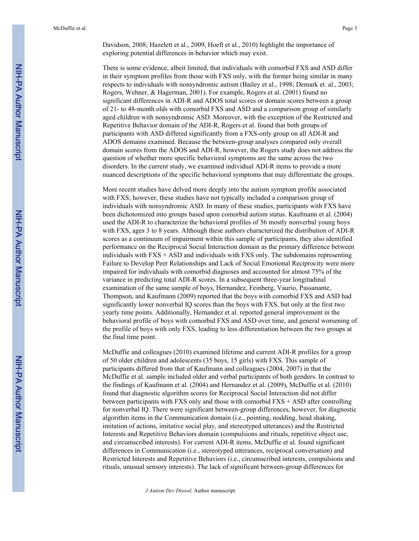Davidson, 2008; Hazelett et al., 2009, Hoeft et al., 2010) highlight the importance of exploring potential differences in behavior which may exist.

There is some evidence, albeit limited, that individuals with comorbid FXS and ASD differ in their symptom profiles from those with FXS only, with the former being similar in many respects to individuals with nonsyndromic autism (Bailey et al., 1998; Demark et. al., 2003; Rogers, Wehner, & Hagerman, 2001). For example, Rogers et al. (2001) found no significant differences in ADI-R and ADOS total scores or domain scores between a group of 21- to 48-month olds with comorbid FXS and ASD and a comparison group of similarly aged children with nonsyndromic ASD. Moreover, with the exception of the Restricted and Repetitive Behavior domain of the ADI-R, Rogers et al. found that both groups of participants with ASD differed significantly from a FXS-only group on all ADI-R and ADOS domains examined. Because the between-group analyses compared only overall domain scores from the ADOS and ADI-R, however, the Rogers study does not address the question of whether more specific behavioral symptoms are the same across the two disorders. In the current study, we examined individual ADI-R items to provide a more nuanced descriptions of the specific behavioral symptoms that may differentiate the groups.

More recent studies have delved more deeply into the autism symptom profile associated with FXS; however, these studies have not typically included a comparison group of individuals with nonsyndromic ASD. In many of these studies, participants with FXS have been dichotomized into groups based upon comorbid autism status. Kaufmann et al. (2004) used the ADI-R to characterize the behavioral profiles of 56 mostly nonverbal young boys with FXS, ages 3 to 8 years. Although these authors characterized the distribution of ADI-R scores as a continuum of impairment within this sample of participants, they also identified performance on the Reciprocal Social Interaction domain as the primary difference between individuals with FXS + ASD and individuals with FXS only. The subdomains representing Failure to Develop Peer Relationships and Lack of Social Emotional Reciprocity were more impaired for individuals with comorbid diagnoses and accounted for almost 75% of the variance in predicting total ADI-R scores. In a subsequent three-year longitudinal examination of the same sample of boys, Hernandez, Feinberg, Vaurio, Passanante, Thompson, and Kaufmann (2009) reported that the boys with comorbid FXS and ASD had significantly lower nonverbal IQ scores than the boys with FXS, but only at the first two yearly time points. Additionally, Hernandez et al. reported general improvement in the behavioral profile of boys with comorbid FXS and ASD over time, and general worsening of the profile of boys with only FXS, leading to less differentiation between the two groups at the final time point.

McDuffie and colleagues (2010) examined lifetime and current ADI-R profiles for a group of 50 older children and adolescents (35 boys, 15 girls) with FXS. This sample of participants differed from that of Kaufmann and colleagues (2004, 2007) in that the McDuffie et al. sample included older and verbal participants of both genders. In contrast to the findings of Kaufmann et al. (2004) and Hernandez et al. (2009), McDuffie et al. (2010) found that diagnostic algorithm scores for Reciprocal Social Interaction did not differ between participants with FXS only and those with comorbid FXS + ASD after controlling for nonverbal IQ. There were significant between-group differences, however, for diagnostic algorithm items in the Communication domain (i.e., pointing, nodding, head shaking, imitation of actions, imitative social play, and stereotyped utterances) and the Restricted Interests and Repetitive Behaviors domain (compulsions and rituals, repetitive object use, and circumscribed interests). For current ADI-R items, McDuffie et al. found significant differences in Communication (i.e., stereotyped utterances, reciprocal conversation) and Restricted Interests and Repetitive Behaviors (i.e., circumscribed interests, compulsions and rituals, unusual sensory interests). The lack of significant between-group differences for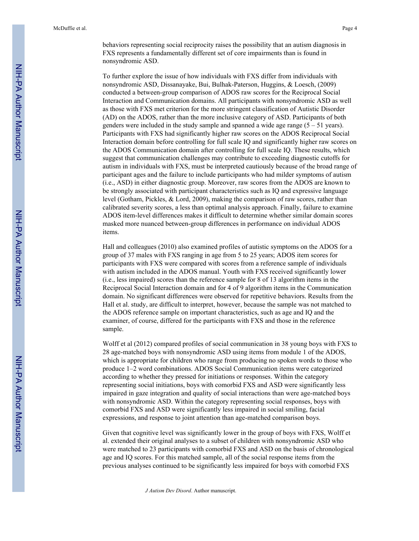behaviors representing social reciprocity raises the possibility that an autism diagnosis in FXS represents a fundamentally different set of core impairments than is found in nonsyndromic ASD.

To further explore the issue of how individuals with FXS differ from individuals with nonsyndromic ASD, Dissanayake, Bui, Bulhak-Paterson, Huggins, & Loesch, (2009) conducted a between-group comparison of ADOS raw scores for the Reciprocal Social Interaction and Communication domains. All participants with nonsyndromic ASD as well as those with FXS met criterion for the more stringent classification of Autistic Disorder (AD) on the ADOS, rather than the more inclusive category of ASD. Participants of both genders were included in the study sample and spanned a wide age range  $(5 - 51 \text{ years})$ . Participants with FXS had significantly higher raw scores on the ADOS Reciprocal Social Interaction domain before controlling for full scale IQ and significantly higher raw scores on the ADOS Communication domain after controlling for full scale IQ. These results, which suggest that communication challenges may contribute to exceeding diagnostic cutoffs for autism in individuals with FXS, must be interpreted cautiously because of the broad range of participant ages and the failure to include participants who had milder symptoms of autism (i.e., ASD) in either diagnostic group. Moreover, raw scores from the ADOS are known to be strongly associated with participant characteristics such as IQ and expressive language level (Gotham, Pickles, & Lord, 2009), making the comparison of raw scores, rather than calibrated severity scores, a less than optimal analysis approach. Finally, failure to examine ADOS item-level differences makes it difficult to determine whether similar domain scores masked more nuanced between-group differences in performance on individual ADOS items.

Hall and colleagues (2010) also examined profiles of autistic symptoms on the ADOS for a group of 37 males with FXS ranging in age from 5 to 25 years; ADOS item scores for participants with FXS were compared with scores from a reference sample of individuals with autism included in the ADOS manual. Youth with FXS received significantly lower (i.e., less impaired) scores than the reference sample for 8 of 13 algorithm items in the Reciprocal Social Interaction domain and for 4 of 9 algorithm items in the Communication domain. No significant differences were observed for repetitive behaviors. Results from the Hall et al. study, are difficult to interpret, however, because the sample was not matched to the ADOS reference sample on important characteristics, such as age and IQ and the examiner, of course, differed for the participants with FXS and those in the reference sample.

Wolff et al (2012) compared profiles of social communication in 38 young boys with FXS to 28 age-matched boys with nonsyndromic ASD using items from module 1 of the ADOS, which is appropriate for children who range from producing no spoken words to those who produce 1–2 word combinations. ADOS Social Communication items were categorized according to whether they pressed for initiations or responses. Within the category representing social initiations, boys with comorbid FXS and ASD were significantly less impaired in gaze integration and quality of social interactions than were age-matched boys with nonsyndromic ASD. Within the category representing social responses, boys with comorbid FXS and ASD were significantly less impaired in social smiling, facial expressions, and response to joint attention than age-matched comparison boys.

Given that cognitive level was significantly lower in the group of boys with FXS, Wolff et al. extended their original analyses to a subset of children with nonsyndromic ASD who were matched to 23 participants with comorbid FXS and ASD on the basis of chronological age and IQ scores. For this matched sample, all of the social response items from the previous analyses continued to be significantly less impaired for boys with comorbid FXS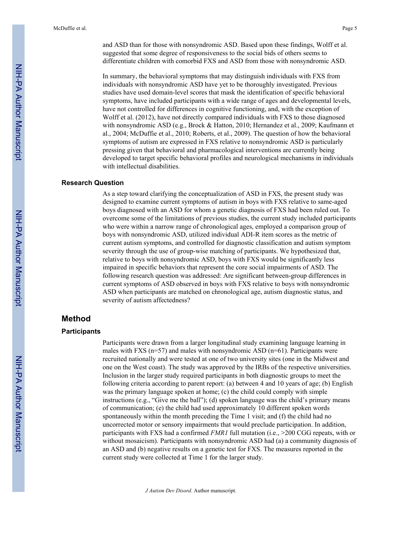and ASD than for those with nonsyndromic ASD. Based upon these findings, Wolff et al. suggested that some degree of responsiveness to the social bids of others seems to differentiate children with comorbid FXS and ASD from those with nonsyndromic ASD.

In summary, the behavioral symptoms that may distinguish individuals with FXS from individuals with nonsyndromic ASD have yet to be thoroughly investigated. Previous studies have used domain-level scores that mask the identification of specific behavioral symptoms, have included participants with a wide range of ages and developmental levels, have not controlled for differences in cognitive functioning, and, with the exception of Wolff et al. (2012), have not directly compared individuals with FXS to those diagnosed with nonsyndromic ASD (e.g., Brock & Hatton, 2010; Hernandez et al., 2009; Kaufmann et al., 2004; McDuffie et al., 2010; Roberts, et al., 2009). The question of how the behavioral symptoms of autism are expressed in FXS relative to nonsyndromic ASD is particularly pressing given that behavioral and pharmacological interventions are currently being developed to target specific behavioral profiles and neurological mechanisms in individuals with intellectual disabilities.

#### **Research Question**

As a step toward clarifying the conceptualization of ASD in FXS, the present study was designed to examine current symptoms of autism in boys with FXS relative to same-aged boys diagnosed with an ASD for whom a genetic diagnosis of FXS had been ruled out. To overcome some of the limitations of previous studies, the current study included participants who were within a narrow range of chronological ages, employed a comparison group of boys with nonsyndromic ASD, utilized individual ADI-R item scores as the metric of current autism symptoms, and controlled for diagnostic classification and autism symptom severity through the use of group-wise matching of participants. We hypothesized that, relative to boys with nonsyndromic ASD, boys with FXS would be significantly less impaired in specific behaviors that represent the core social impairments of ASD. The following research question was addressed: Are significant between-group differences in current symptoms of ASD observed in boys with FXS relative to boys with nonsyndromic ASD when participants are matched on chronological age, autism diagnostic status, and severity of autism affectedness?

## **Method**

#### **Participants**

Participants were drawn from a larger longitudinal study examining language learning in males with FXS ( $n=57$ ) and males with nonsyndromic ASD ( $n=61$ ). Participants were recruited nationally and were tested at one of two university sites (one in the Midwest and one on the West coast). The study was approved by the IRBs of the respective universities. Inclusion in the larger study required participants in both diagnostic groups to meet the following criteria according to parent report: (a) between 4 and 10 years of age; (b) English was the primary language spoken at home; (c) the child could comply with simple instructions (e.g., "Give me the ball"); (d) spoken language was the child's primary means of communication; (e) the child had used approximately 10 different spoken words spontaneously within the month preceding the Time 1 visit; and (f) the child had no uncorrected motor or sensory impairments that would preclude participation. In addition, participants with FXS had a confirmed *FMR1* full mutation (i.e., >200 CGG repeats, with or without mosaicism). Participants with nonsyndromic ASD had (a) a community diagnosis of an ASD and (b) negative results on a genetic test for FXS. The measures reported in the current study were collected at Time 1 for the larger study.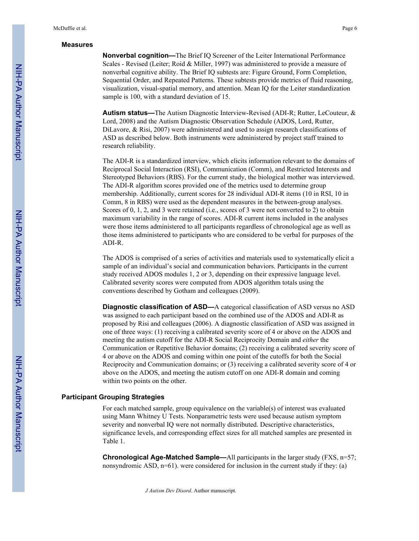#### **Measures**

**Nonverbal cognition—**The Brief IQ Screener of the Leiter International Performance Scales - Revised (Leiter; Roid & Miller, 1997) was administered to provide a measure of nonverbal cognitive ability. The Brief IQ subtests are: Figure Ground, Form Completion, Sequential Order, and Repeated Patterns. These subtests provide metrics of fluid reasoning, visualization, visual-spatial memory, and attention. Mean IQ for the Leiter standardization sample is 100, with a standard deviation of 15.

**Autism status—**The Autism Diagnostic Interview-Revised (ADI-R; Rutter, LeCouteur, & Lord, 2008) and the Autism Diagnostic Observation Schedule (ADOS, Lord, Rutter, DiLavore, & Risi, 2007) were administered and used to assign research classifications of ASD as described below. Both instruments were administered by project staff trained to research reliability.

The ADI-R is a standardized interview, which elicits information relevant to the domains of Reciprocal Social Interaction (RSI), Communication (Comm), and Restricted Interests and Stereotyped Behaviors (RBS). For the current study, the biological mother was interviewed. The ADI-R algorithm scores provided one of the metrics used to determine group membership. Additionally, current scores for 28 individual ADI-R items (10 in RSI, 10 in Comm, 8 in RBS) were used as the dependent measures in the between-group analyses. Scores of 0, 1, 2, and 3 were retained (i.e., scores of 3 were not converted to 2) to obtain maximum variability in the range of scores. ADI-R current items included in the analyses were those items administered to all participants regardless of chronological age as well as those items administered to participants who are considered to be verbal for purposes of the ADI-R.

The ADOS is comprised of a series of activities and materials used to systematically elicit a sample of an individual's social and communication behaviors. Participants in the current study received ADOS modules 1, 2 or 3, depending on their expressive language level. Calibrated severity scores were computed from ADOS algorithm totals using the conventions described by Gotham and colleagues (2009).

**Diagnostic classification of ASD—**A categorical classification of ASD versus no ASD was assigned to each participant based on the combined use of the ADOS and ADI-R as proposed by Risi and colleagues (2006). A diagnostic classification of ASD was assigned in one of three ways: (1) receiving a calibrated severity score of 4 or above on the ADOS and meeting the autism cutoff for the ADI-R Social Reciprocity Domain and *either* the Communication or Repetitive Behavior domains; (2) receiving a calibrated severity score of 4 or above on the ADOS and coming within one point of the cutoffs for both the Social Reciprocity and Communication domains; or (3) receiving a calibrated severity score of 4 or above on the ADOS, and meeting the autism cutoff on one ADI-R domain and coming within two points on the other.

# **Participant Grouping Strategies**

For each matched sample, group equivalence on the variable(s) of interest was evaluated using Mann Whitney U Tests. Nonparametric tests were used because autism symptom severity and nonverbal IQ were not normally distributed. Descriptive characteristics, significance levels, and corresponding effect sizes for all matched samples are presented in Table 1.

**Chronological Age-Matched Sample—All participants in the larger study (FXS, n=57;** nonsyndromic ASD,  $n=61$ ), were considered for inclusion in the current study if they: (a)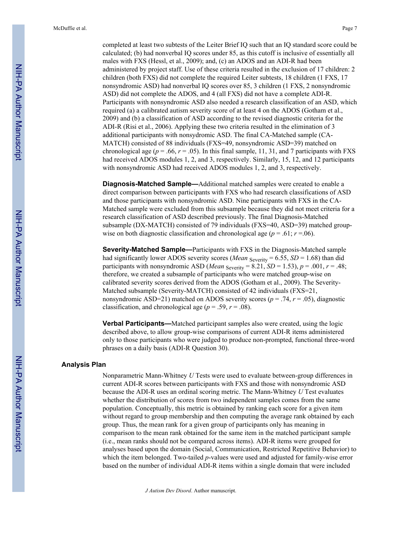completed at least two subtests of the Leiter Brief IQ such that an IQ standard score could be calculated; (b) had nonverbal IQ scores under 85, as this cutoff is inclusive of essentially all males with FXS (Hessl, et al., 2009); and, (c) an ADOS and an ADI-R had been administered by project staff. Use of these criteria resulted in the exclusion of 17 children: 2 children (both FXS) did not complete the required Leiter subtests, 18 children (1 FXS, 17 nonsyndromic ASD) had nonverbal IQ scores over 85, 3 children (1 FXS, 2 nonsyndromic ASD) did not complete the ADOS, and 4 (all FXS) did not have a complete ADI-R. Participants with nonsyndromic ASD also needed a research classification of an ASD, which required (a) a calibrated autism severity score of at least 4 on the ADOS (Gotham et al., 2009) and (b) a classification of ASD according to the revised diagnostic criteria for the ADI-R (Risi et al., 2006). Applying these two criteria resulted in the elimination of 3 additional participants with nonsydromic ASD. The final CA-Matched sample (CA-MATCH) consisted of 88 individuals (FXS=49, nonsyndromic ASD=39) matched on chronological age ( $p = .66$ ,  $r = .05$ ). In this final sample, 11, 31, and 7 participants with FXS had received ADOS modules 1, 2, and 3, respectively. Similarly, 15, 12, and 12 participants with nonsyndromic ASD had received ADOS modules 1, 2, and 3, respectively.

**Diagnosis-Matched Sample—**Additional matched samples were created to enable a direct comparison between participants with FXS who had research classifications of ASD and those participants with nonsyndromic ASD. Nine participants with FXS in the CA-Matched sample were excluded from this subsample because they did not meet criteria for a research classification of ASD described previously. The final Diagnosis-Matched subsample (DX-MATCH) consisted of 79 individuals (FXS=40, ASD=39) matched groupwise on both diagnostic classification and chronological age ( $p = .61$ ;  $r = .06$ ).

**Severity-Matched Sample—**Participants with FXS in the Diagnosis-Matched sample had significantly lower ADOS severity scores (*Mean* <sub>Severity</sub> = 6.55, *SD* = 1.68) than did participants with nonsyndromic ASD (*Mean* Severity = 8.21, *SD* = 1.53),  $p = .001$ ,  $r = .48$ ; therefore, we created a subsample of participants who were matched group-wise on calibrated severity scores derived from the ADOS (Gotham et al., 2009). The Severity-Matched subsample (Severity-MATCH) consisted of 42 individuals (FXS=21, nonsyndromic ASD=21) matched on ADOS severity scores ( $p = .74$ ,  $r = .05$ ), diagnostic classification, and chronological age ( $p = .59$ ,  $r = .08$ ).

**Verbal Participants—**Matched participant samples also were created, using the logic described above, to allow group-wise comparisons of current ADI-R items administered only to those participants who were judged to produce non-prompted, functional three-word phrases on a daily basis (ADI-R Question 30).

#### **Analysis Plan**

Nonparametric Mann-Whitney *U* Tests were used to evaluate between-group differences in current ADI-R scores between participants with FXS and those with nonsyndromic ASD because the ADI-R uses an ordinal scoring metric. The Mann-Whitney *U* Test evaluates whether the distribution of scores from two independent samples comes from the same population. Conceptually, this metric is obtained by ranking each score for a given item without regard to group membership and then computing the average rank obtained by each group. Thus, the mean rank for a given group of participants only has meaning in comparison to the mean rank obtained for the same item in the matched participant sample (i.e., mean ranks should not be compared across items). ADI-R items were grouped for analyses based upon the domain (Social, Communication, Restricted Repetitive Behavior) to which the item belonged. Two-tailed *p*-values were used and adjusted for family-wise error based on the number of individual ADI-R items within a single domain that were included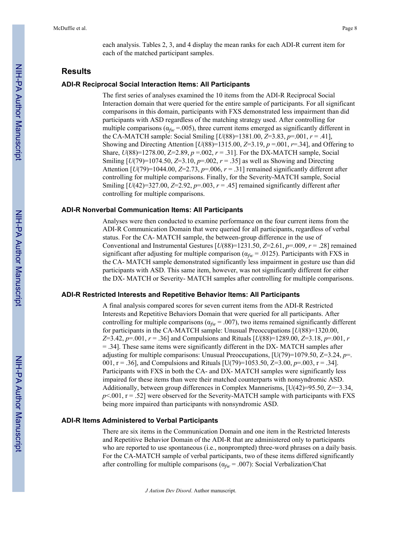each analysis. Tables 2, 3, and 4 display the mean ranks for each ADI-R current item for each of the matched participant samples.

# **Results**

#### **ADI-R Reciprocal Social Interaction Items: All Participants**

The first series of analyses examined the 10 items from the ADI-R Reciprocal Social Interaction domain that were queried for the entire sample of participants. For all significant comparisons in this domain, participants with FXS demonstrated less impairment than did participants with ASD regardless of the matching strategy used. After controlling for multiple comparisons ( $\alpha_{fw}$  =.005), three current items emerged as significantly different in the CA-MATCH sample: Social Smiling [*U*(88)=1381.00, *Z*=3.83, *p*=.001, *r* = .41], Showing and Directing Attention  $[U(88) = 1315.00, Z = 3.19, p = .001, r = .34]$ , and Offering to Share,  $U(88)=1278.00$ ,  $Z=2.89$ ,  $p=.002$ ,  $r=.31$ . For the DX-MATCH sample, Social Smiling [*U*(79)=1074.50, *Z*=3.10, *p*=.002, *r* = .35] as well as Showing and Directing Attention  $[U(79)=1044.00, Z=2.73, p=.006, r=.31]$  remained significantly different after controlling for multiple comparisons. Finally, for the Severity-MATCH sample, Social Smiling  $[U(42)=327.00, Z=2.92, p=.003, r=.45]$  remained significantly different after controlling for multiple comparisons.

#### **ADI-R Nonverbal Communication Items: All Participants**

Analyses were then conducted to examine performance on the four current items from the ADI-R Communication Domain that were queried for all participants, regardless of verbal status. For the CA- MATCH sample, the between-group difference in the use of Conventional and Instrumental Gestures  $\left[\frac{U(88)=1231.50}{Z=2.61}, \frac{p=009}{T=0.28}\right]$  remained significant after adjusting for multiple comparison ( $\alpha_{fw}$  = .0125). Participants with FXS in the CA- MATCH sample demonstrated significantly less impairment in gesture use than did participants with ASD. This same item, however, was not significantly different for either the DX- MATCH or Severity- MATCH samples after controlling for multiple comparisons.

#### **ADI-R Restricted Interests and Repetitive Behavior Items: All Participants**

A final analysis compared scores for seven current items from the ADI-R Restricted Interests and Repetitive Behaviors Domain that were queried for all participants. After controlling for multiple comparisons ( $\alpha_{fw} = .007$ ), two items remained significantly different for participants in the CA-MATCH sample: Unusual Preoccupations [*U*(88)=1320.00, *Z*=3.42, *p*=.001, *r* = .36] and Compulsions and Rituals [*U*(88)=1289.00, *Z*=3.18, *p*=.001, *r* = .34]. These same items were significantly different in the DX- MATCH samples after adjusting for multiple comparisons: Unusual Preoccupations, [U(79)=1079.50, Z=3.24, *p*=. 001, r = .36], and Compulsions and Rituals [U(79)=1053.50, Z=3.00, *p*=.003, r = .34]. Participants with FXS in both the CA- and DX- MATCH samples were significantly less impaired for these items than were their matched counterparts with nonsyndromic ASD. Additionally, between group differences in Complex Mannerisms,  $[U(42)=95.50, Z=-3.34,$  $p<.001$ ,  $r = .52$ ] were observed for the Severity-MATCH sample with participants with FXS being more impaired than participants with nonsyndromic ASD.

#### **ADI-R Items Administered to Verbal Participants**

There are six items in the Communication Domain and one item in the Restricted Interests and Repetitive Behavior Domain of the ADI-R that are administered only to participants who are reported to use spontaneous (i.e., nonprompted) three-word phrases on a daily basis. For the CA-MATCH sample of verbal participants, two of these items differed significantly after controlling for multiple comparisons ( $\alpha_{fw}$  = .007): Social Verbalization/Chat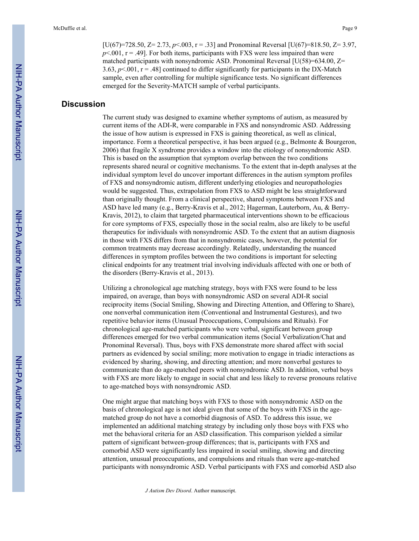[U(67)=728.50,  $Z = 2.73$ ,  $p < 0.003$ ,  $r = .33$ ] and Pronominal Reversal [U(67)=818.50,  $Z = 3.97$ ,  $p<.001$ ,  $r = .49$ ]. For both items, participants with FXS were less impaired than were matched participants with nonsyndromic ASD. Pronominal Reversal  $[U(58)=634.00, Z=$ 3.63,  $p$ <.001,  $r = .48$ ] continued to differ significantly for participants in the DX-Match sample, even after controlling for multiple significance tests. No significant differences emerged for the Severity-MATCH sample of verbal participants.

# **Discussion**

The current study was designed to examine whether symptoms of autism, as measured by current items of the ADI-R, were comparable in FXS and nonsyndromic ASD. Addressing the issue of how autism is expressed in FXS is gaining theoretical, as well as clinical, importance. Form a theoretical perspective, it has been argued (e.g., Belmonte & Bourgeron, 2006) that fragile X syndrome provides a window into the etiology of nonsyndromic ASD. This is based on the assumption that symptom overlap between the two conditions represents shared neural or cognitive mechanisms. To the extent that in-depth analyses at the individual symptom level do uncover important differences in the autism symptom profiles of FXS and nonsyndromic autism, different underlying etiologies and neuropathologies would be suggested. Thus, extrapolation from FXS to ASD might be less straightforward than originally thought. From a clinical perspective, shared symptoms between FXS and ASD have led many (e.g., Berry-Kravis et al., 2012; Hagerman, Lauterborn, Au, & Berry-Kravis, 2012), to claim that targeted pharmaceutical interventions shown to be efficacious for core symptoms of FXS, especially those in the social realm, also are likely to be useful therapeutics for individuals with nonsyndromic ASD. To the extent that an autism diagnosis in those with FXS differs from that in nonsyndromic cases, however, the potential for common treatments may decrease accordingly. Relatedly, understanding the nuanced differences in symptom profiles between the two conditions is important for selecting clinical endpoints for any treatment trial involving individuals affected with one or both of the disorders (Berry-Kravis et al., 2013).

Utilizing a chronological age matching strategy, boys with FXS were found to be less impaired, on average, than boys with nonsyndromic ASD on several ADI-R social reciprocity items (Social Smiling, Showing and Directing Attention, and Offering to Share), one nonverbal communication item (Conventional and Instrumental Gestures), and two repetitive behavior items (Unusual Preoccupations, Compulsions and Rituals). For chronological age-matched participants who were verbal, significant between group differences emerged for two verbal communication items (Social Verbalization/Chat and Pronominal Reversal). Thus, boys with FXS demonstrate more shared affect with social partners as evidenced by social smiling; more motivation to engage in triadic interactions as evidenced by sharing, showing, and directing attention; and more nonverbal gestures to communicate than do age-matched peers with nonsyndromic ASD. In addition, verbal boys with FXS are more likely to engage in social chat and less likely to reverse pronouns relative to age-matched boys with nonsyndromic ASD.

One might argue that matching boys with FXS to those with nonsyndromic ASD on the basis of chronological age is not ideal given that some of the boys with FXS in the agematched group do not have a comorbid diagnosis of ASD. To address this issue, we implemented an additional matching strategy by including only those boys with FXS who met the behavioral criteria for an ASD classification. This comparison yielded a similar pattern of significant between-group differences; that is, participants with FXS and comorbid ASD were significantly less impaired in social smiling, showing and directing attention, unusual preoccupations, and compulsions and rituals than were age-matched participants with nonsyndromic ASD. Verbal participants with FXS and comorbid ASD also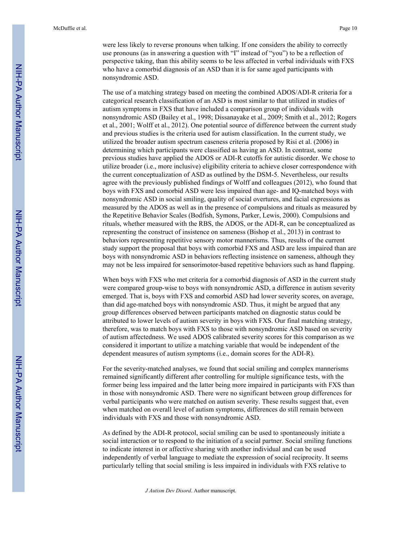were less likely to reverse pronouns when talking. If one considers the ability to correctly use pronouns (as in answering a question with "I" instead of "you") to be a reflection of perspective taking, than this ability seems to be less affected in verbal individuals with FXS who have a comorbid diagnosis of an ASD than it is for same aged participants with nonsyndromic ASD.

The use of a matching strategy based on meeting the combined ADOS/ADI-R criteria for a categorical research classification of an ASD is most similar to that utilized in studies of autism symptoms in FXS that have included a comparison group of individuals with nonsyndromic ASD (Bailey et al., 1998; Dissanayake et al., 2009; Smith et al., 2012; Rogers et al., 2001; Wolff et al., 2012). One potential source of difference between the current study and previous studies is the criteria used for autism classification. In the current study, we utilized the broader autism spectrum caseness criteria proposed by Risi et al. (2006) in determining which participants were classified as having an ASD. In contrast, some previous studies have applied the ADOS or ADI-R cutoffs for autistic disorder. We chose to utilize broader (i.e., more inclusive) eligibility criteria to achieve closer correspondence with the current conceptualization of ASD as outlined by the DSM-5. Nevertheless, our results agree with the previously published findings of Wolff and colleagues (2012), who found that boys with FXS and comorbid ASD were less impaired than age- and IQ-matched boys with nonsyndromic ASD in social smiling, quality of social overtures, and facial expressions as measured by the ADOS as well as in the presence of compulsions and rituals as measured by the Repetitive Behavior Scales (Bodfish, Symons, Parker, Lewis, 2000). Compulsions and rituals, whether measured with the RBS, the ADOS, or the ADI-R, can be conceptualized as representing the construct of insistence on sameness (Bishop et al., 2013) in contrast to behaviors representing repetitive sensory motor mannerisms. Thus, results of the current study support the proposal that boys with comorbid FXS and ASD are less impaired than are boys with nonsyndromic ASD in behaviors reflecting insistence on sameness, although they may not be less impaired for sensorimotor-based repetitive behaviors such as hand flapping.

When boys with FXS who met criteria for a comorbid diagnosis of ASD in the current study were compared group-wise to boys with nonsyndromic ASD, a difference in autism severity emerged. That is, boys with FXS and comorbid ASD had lower severity scores, on average, than did age-matched boys with nonsyndromic ASD. Thus, it might be argued that any group differences observed between participants matched on diagnostic status could be attributed to lower levels of autism severity in boys with FXS. Our final matching strategy, therefore, was to match boys with FXS to those with nonsyndromic ASD based on severity of autism affectedness. We used ADOS calibrated severity scores for this comparison as we considered it important to utilize a matching variable that would be independent of the dependent measures of autism symptoms (i.e., domain scores for the ADI-R).

For the severity-matched analyses, we found that social smiling and complex mannerisms remained significantly different after controlling for multiple significance tests, with the former being less impaired and the latter being more impaired in participants with FXS than in those with nonsyndromic ASD. There were no significant between group differences for verbal participants who were matched on autism severity. These results suggest that, even when matched on overall level of autism symptoms, differences do still remain between individuals with FXS and those with nonsyndromic ASD.

As defined by the ADI-R protocol, social smiling can be used to spontaneously initiate a social interaction or to respond to the initiation of a social partner. Social smiling functions to indicate interest in or affective sharing with another individual and can be used independently of verbal language to mediate the expression of social reciprocity. It seems particularly telling that social smiling is less impaired in individuals with FXS relative to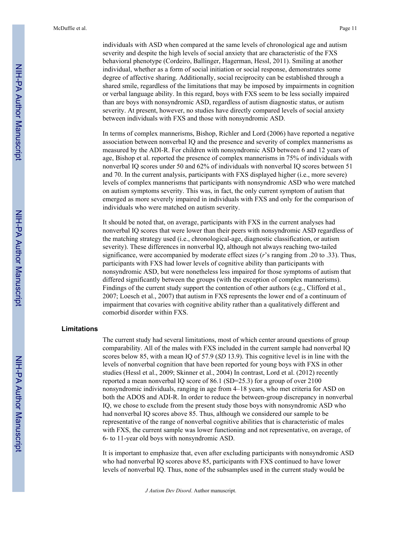individuals with ASD when compared at the same levels of chronological age and autism severity and despite the high levels of social anxiety that are characteristic of the FXS behavioral phenotype (Cordeiro, Ballinger, Hagerman, Hessl, 2011). Smiling at another individual, whether as a form of social initiation or social response, demonstrates some degree of affective sharing. Additionally, social reciprocity can be established through a shared smile, regardless of the limitations that may be imposed by impairments in cognition or verbal language ability. In this regard, boys with FXS seem to be less socially impaired than are boys with nonsyndromic ASD, regardless of autism diagnostic status, or autism severity. At present, however, no studies have directly compared levels of social anxiety between individuals with FXS and those with nonsyndromic ASD.

In terms of complex mannerisms, Bishop, Richler and Lord (2006) have reported a negative association between nonverbal IQ and the presence and severity of complex mannerisms as measured by the ADI-R. For children with nonsyndromic ASD between 6 and 12 years of age, Bishop et al. reported the presence of complex mannerisms in 75% of individuals with nonverbal IQ scores under 50 and 62% of individuals with nonverbal IQ scores between 51 and 70. In the current analysis, participants with FXS displayed higher (i.e., more severe) levels of complex mannerisms that participants with nonsyndromic ASD who were matched on autism symptoms severity. This was, in fact, the only current symptom of autism that emerged as more severely impaired in individuals with FXS and only for the comparison of individuals who were matched on autism severity.

It should be noted that, on average, participants with FXS in the current analyses had nonverbal IQ scores that were lower than their peers with nonsyndromic ASD regardless of the matching strategy used (i.e., chronological-age, diagnostic classification, or autism severity). These differences in nonverbal IQ, although not always reaching two-tailed significance, were accompanied by moderate effect sizes (*r*'s ranging from .20 to .33). Thus, participants with FXS had lower levels of cognitive ability than participants with nonsyndromic ASD, but were nonetheless less impaired for those symptoms of autism that differed significantly between the groups (with the exception of complex mannerisms). Findings of the current study support the contention of other authors (e.g., Clifford et al., 2007; Loesch et al., 2007) that autism in FXS represents the lower end of a continuum of impairment that covaries with cognitive ability rather than a qualitatively different and comorbid disorder within FXS.

#### **Limitations**

The current study had several limitations, most of which center around questions of group comparability. All of the males with FXS included in the current sample had nonverbal IQ scores below 85, with a mean IQ of 57.9 (*SD* 13.9). This cognitive level is in line with the levels of nonverbal cognition that have been reported for young boys with FXS in other studies (Hessl et al., 2009; Skinner et al., 2004) In contrast, Lord et al. (2012) recently reported a mean nonverbal IQ score of 86.1 (SD=25.3) for a group of over 2100 nonsyndromic individuals, ranging in age from 4–18 years, who met criteria for ASD on both the ADOS and ADI-R. In order to reduce the between-group discrepancy in nonverbal IQ, we chose to exclude from the present study those boys with nonsyndromic ASD who had nonverbal IQ scores above 85. Thus, although we considered our sample to be representative of the range of nonverbal cognitive abilities that is characteristic of males with FXS, the current sample was lower functioning and not representative, on average, of 6- to 11-year old boys with nonsyndromic ASD.

It is important to emphasize that, even after excluding participants with nonsyndromic ASD who had nonverbal IQ scores above 85, participants with FXS continued to have lower levels of nonverbal IQ. Thus, none of the subsamples used in the current study would be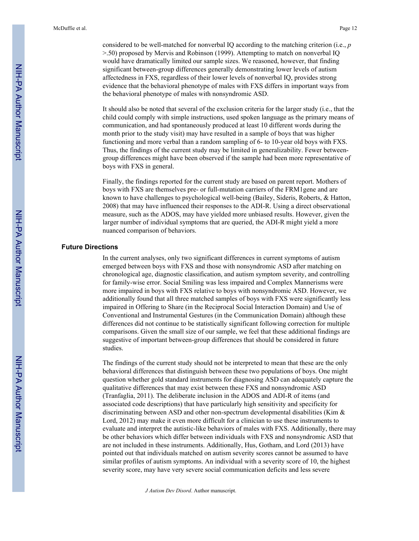considered to be well-matched for nonverbal IQ according to the matching criterion (i.e., *p* >.50) proposed by Mervis and Robinson (1999). Attempting to match on nonverbal IQ would have dramatically limited our sample sizes. We reasoned, however, that finding significant between-group differences generally demonstrating lower levels of autism affectedness in FXS, regardless of their lower levels of nonverbal IQ, provides strong evidence that the behavioral phenotype of males with FXS differs in important ways from the behavioral phenotype of males with nonsyndromic ASD.

It should also be noted that several of the exclusion criteria for the larger study (i.e., that the child could comply with simple instructions, used spoken language as the primary means of communication, and had spontaneously produced at least 10 different words during the month prior to the study visit) may have resulted in a sample of boys that was higher functioning and more verbal than a random sampling of 6- to 10-year old boys with FXS. Thus, the findings of the current study may be limited in generalizability. Fewer betweengroup differences might have been observed if the sample had been more representative of boys with FXS in general.

Finally, the findings reported for the current study are based on parent report. Mothers of boys with FXS are themselves pre- or full-mutation carriers of the FRM1gene and are known to have challenges to psychological well-being (Bailey, Sideris, Roberts, & Hatton, 2008) that may have influenced their responses to the ADI-R. Using a direct observational measure, such as the ADOS, may have yielded more unbiased results. However, given the larger number of individual symptoms that are queried, the ADI-R might yield a more nuanced comparison of behaviors.

#### **Future Directions**

In the current analyses, only two significant differences in current symptoms of autism emerged between boys with FXS and those with nonsyndromic ASD after matching on chronological age, diagnostic classification, and autism symptom severity, and controlling for family-wise error. Social Smiling was less impaired and Complex Mannerisms were more impaired in boys with FXS relative to boys with nonsyndromic ASD. However, we additionally found that all three matched samples of boys with FXS were significantly less impaired in Offering to Share (in the Reciprocal Social Interaction Domain) and Use of Conventional and Instrumental Gestures (in the Communication Domain) although these differences did not continue to be statistically significant following correction for multiple comparisons. Given the small size of our sample, we feel that these additional findings are suggestive of important between-group differences that should be considered in future studies.

The findings of the current study should not be interpreted to mean that these are the only behavioral differences that distinguish between these two populations of boys. One might question whether gold standard instruments for diagnosing ASD can adequately capture the qualitative differences that may exist between these FXS and nonsyndromic ASD (Tranfaglia, 2011). The deliberate inclusion in the ADOS and ADI-R of items (and associated code descriptions) that have particularly high sensitivity and specificity for discriminating between ASD and other non-spectrum developmental disabilities (Kim & Lord, 2012) may make it even more difficult for a clinician to use these instruments to evaluate and interpret the autistic-like behaviors of males with FXS. Additionally, there may be other behaviors which differ between individuals with FXS and nonsyndromic ASD that are not included in these instruments. Additionally, Hus, Gotham, and Lord (2013) have pointed out that individuals matched on autism severity scores cannot be assumed to have similar profiles of autism symptoms. An individual with a severity score of 10, the highest severity score, may have very severe social communication deficits and less severe

*J Autism Dev Disord*. Author manuscript.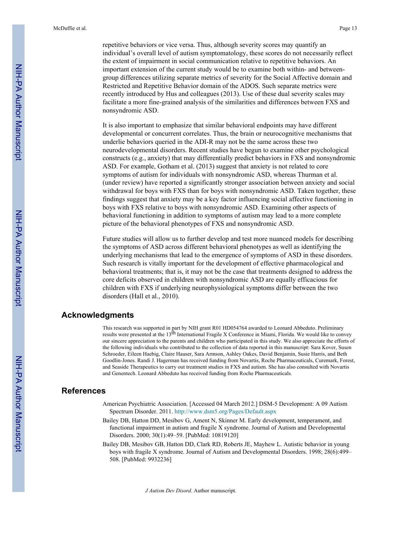repetitive behaviors or vice versa. Thus, although severity scores may quantify an individual's overall level of autism symptomatology, these scores do not necessarily reflect the extent of impairment in social communication relative to repetitive behaviors. An important extension of the current study would be to examine both within- and betweengroup differences utilizing separate metrics of severity for the Social Affective domain and Restricted and Repetitive Behavior domain of the ADOS. Such separate metrics were recently introduced by Hus and colleagues (2013). Use of these dual severity scales may facilitate a more fine-grained analysis of the similarities and differences between FXS and nonsyndromic ASD.

It is also important to emphasize that similar behavioral endpoints may have different developmental or concurrent correlates. Thus, the brain or neurocognitive mechanisms that underlie behaviors queried in the ADI-R may not be the same across these two neurodevelopmental disorders. Recent studies have begun to examine other psychological constructs (e.g., anxiety) that may differentially predict behaviors in FXS and nonsyndromic ASD. For example, Gotham et al. (2013) suggest that anxiety is not related to core symptoms of autism for individuals with nonsyndromic ASD, whereas Thurman et al. (under review) have reported a significantly stronger association between anxiety and social withdrawal for boys with FXS than for boys with nonsyndromic ASD. Taken together, these findings suggest that anxiety may be a key factor influencing social affective functioning in boys with FXS relative to boys with nonsyndromic ASD. Examining other aspects of behavioral functioning in addition to symptoms of autism may lead to a more complete picture of the behavioral phenotypes of FXS and nonsyndromic ASD.

Future studies will allow us to further develop and test more nuanced models for describing the symptoms of ASD across different behavioral phenotypes as well as identifying the underlying mechanisms that lead to the emergence of symptoms of ASD in these disorders. Such research is vitally important for the development of effective pharmacological and behavioral treatments; that is, it may not be the case that treatments designed to address the core deficits observed in children with nonsyndromic ASD are equally efficacious for children with FXS if underlying neurophysiological symptoms differ between the two disorders (Hall et al., 2010).

# **Acknowledgments**

This research was supported in part by NIH grant R01 HD054764 awarded to Leonard Abbeduto. Preliminary results were presented at the 13th International Fragile X Conference in Miami, Florida. We would like to convey our sincere appreciation to the parents and children who participated in this study. We also appreciate the efforts of the following individuals who contributed to the collection of data reported in this manuscript: Sara Kover, Susen Schroeder, Eileen Haebig, Claire Hauser, Sara Armson, Ashley Oakes, David Benjamin, Susie Harris, and Beth Goodlin-Jones. Randi J. Hagerman has received funding from Novartis, Roche Pharmaceuticals, Curemark, Forest, and Seaside Therapeutics to carry out treatment studies in FXS and autism. She has also consulted with Novartis and Genentech. Leonard Abbeduto has received funding from Roche Pharmaceuticals.

# **References**

- American Psychiatric Association. [Accessed 04 March 2012.] DSM-5 Development: A 09 Autism Spectrum Disorder. 2011.<http://www.dsm5.org/Pages/Default.aspx>
- Bailey DB, Hatton DD, Mesibov G, Ament N, Skinner M. Early development, temperament, and functional impairment in autism and fragile X syndrome. Journal of Autism and Developmental Disorders. 2000; 30(1):49–59. [PubMed: 10819120]
- Bailey DB, Mesibov GB, Hatton DD, Clark RD, Roberts JE, Mayhew L. Autistic behavior in young boys with fragile X syndrome. Journal of Autism and Developmental Disorders. 1998; 28(6):499– 508. [PubMed: 9932236]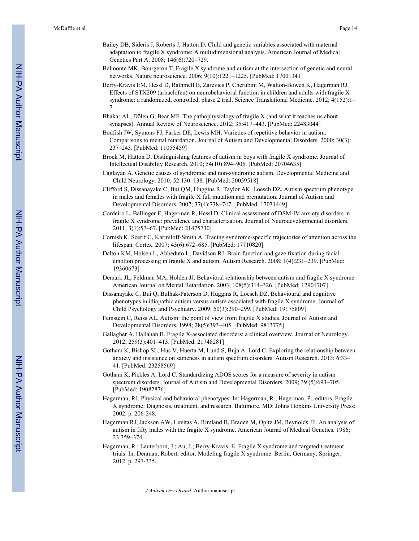- Bailey DB, Sideris J, Roberts J, Hatton D. Child and genetic variables associated with maternal adaptation to fragile X syndrome: A multidimensional analysis. American Journal of Medical Genetics Part A. 2008; 146(6):720–729.
- Belmonte MK, Bourgeron T. Fragile X syndrome and autism at the intersection of genetic and neural networks. Nature neuroscience. 2006; 9(10):1221–1225. [PubMed: 17001341]
- Berry-Kravis EM, Hessl D, Rathmell B, Zarevics P, Cherubini M, Walton-Bowen K, Hagerman RJ. Effects of STX209 (arbaclofen) on neurobehavioral function in children and adults with fragile X syndrome: a randomized, controlled, phase 2 trial. Science Translational Medicine. 2012; 4(152):1– 7.
- Bhakar AL, Dölen G, Bear MF. The pathophysiology of fragile X (and what it teaches us about synapses). Annual Review of Neuroscience. 2012; 35:417–443. [PubMed: 22483044]
- Bodfish JW, Symons FJ, Parker DE, Lewis MH. Varieties of repetitive behavior in autism: Comparisons to mental retardation. Journal of Autism and Developmental Disorders. 2000; 30(3): 237–243. [PubMed: 11055459]
- Brock M, Hatton D. Distinguishing features of autism in boys with fragile X syndrome. Journal of Intellectual Disability Research. 2010; 54(10):894–905. [PubMed: 20704635]
- Caglayan A. Genetic causes of syndromic and non-syndromic autism. Developmental Medicine and Child Neurology. 2010; 52:130–138. [PubMed: 20059518]
- Clifford S, Dissanayake C, Bui QM, Huggins R, Taylor AK, Loesch DZ. Autism spectrum phenotype in males and females with fragile X full mutation and premutation. Journal of Autism and Developmental Disorders. 2007; 37(4):738–747. [PubMed: 17031449]
- Cordeiro L, Ballinger E, Hagerman R, Hessl D. Clinical assessment of DSM-IV anxiety disorders in fragile X syndrome: prevalence and characterization. Journal of Neurodevelopmental disorders. 2011; 3(1):57–67. [PubMed: 21475730]
- Cornish K, Scerif G, Karmiloff-Smith A. Tracing syndrome-specific trajectories of attention across the lifespan. Cortex. 2007; 43(6):672–685. [PubMed: 17710820]
- Dalton KM, Holsen L, Abbeduto L, Davidson RJ. Brain function and gaze fixation during facialemotion processing in fragile X and autism. Autism Research. 2008; 1(4):231–239. [PubMed: 19360673]
- Demark JL, Feldman MA, Holden JJ. Behavioral relationship between autism and fragile X syndrome. American Journal on Mental Retardation. 2003; 108(5):314–326. [PubMed: 12901707]
- Dissanayake C, Bui Q, Bulhak-Paterson D, Huggins R, Loesch DZ. Behavioural and cognitive phenotypes in idiopathic autism versus autism associated with fragile X syndrome. Journal of Child Psychology and Psychiatry. 2009; 50(3):290–299. [PubMed: 19175809]
- Feinstein C, Reiss AL. Autism: the point of view from fragile X studies. Journal of Autism and Developmental Disorders. 1998; 28(5):393–405. [PubMed: 9813775]
- Gallagher A, Hallahan B. Fragile X-associated disorders: a clinical overview. Journal of Neurology. 2012; 259(3):401–413. [PubMed: 21748281]
- Gotham K, Bishop SL, Hus V, Huerta M, Lund S, Buja A, Lord C. Exploring the relationship between anxiety and insistence on sameness in autism spectrum disorders. Autism Research. 2013; 6:33– 41. [PubMed: 23258569]
- Gotham K, Pickles A, Lord C. Standardizing ADOS scores for a measure of severity in autism spectrum disorders. Journal of Autism and Developmental Disorders. 2009; 39 (5):693–705. [PubMed: 19082876]
- Hagerman, RJ. Physical and behavioral phenotypes. In: Hagerman, R.; Hagerman, P., editors. Fragile X syndrome: Diagnosis, treatment, and research. Baltimore, MD: Johns Hopkins University Press; 2002. p. 206-248.
- Hagerman RJ, Jackson AW, Levitas A, Rimland B, Braden M, Opitz JM, Reynolds JF. An analysis of autism in fifty males with the fragile X syndrome. American Journal of Medical Genetics. 1986; 23:359–374.
- Hagerman, R.; Lauterborn, J.; Au, J.; Berry-Kravis, E. Fragile X syndrome and targeted treatment trials. In: Denman, Robert, editor. Modeling fragile X syndrome. Berlin, Germany: Springer; 2012. p. 297-335.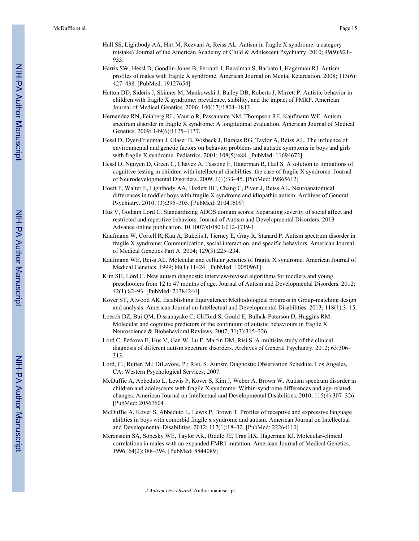- Hall SS, Lightbody AA, Hirt M, Rezvani A, Reiss AL. Autism in fragile X syndrome: a category mistake? Journal of the American Academy of Child & Adolescent Psychiatry. 2010; 49(9):921– 933.
- Harris SW, Hessl D, Goodlin-Jones B, Ferranti J, Bacalman S, Barbato I, Hagerman RJ. Autism profiles of males with fragile X syndrome. American Journal on Mental Retardation. 2008; 113(6): 427–438. [PubMed: 19127654]
- Hatton DD, Sideris J, Skinner M, Mankowski J, Bailey DB, Roberts J, Mirrett P. Autistic behavior in children with fragile X syndrome: prevalence, stability, and the impact of FMRP. American Journal of Medical Genetics. 2006; 140(17):1804–1813.
- Hernandez RN, Feinberg RL, Vaurio R, Passanante NM, Thompson RE, Kaufmann WE. Autism spectrum disorder in fragile X syndrome: A longitudinal evaluation. American Journal of Medical Genetics. 2009; 149(6):1125–1137.
- Hessl D, Dyer-Friedman J, Glaser B, Wisbeck J, Barajas RG, Taylor A, Reiss AL. The influence of environmental and genetic factors on behavior problems and autistic symptoms in boys and girls with fragile X syndrome. Pediatrics. 2001; 108(5):e88. [PubMed: 11694672]
- Hessl D, Nguyen D, Green C, Chavez A, Tassone F, Hagerman R, Hall S. A solution to limitations of cognitive testing in children with intellectual disabilities: the case of fragile X syndrome. Journal of Neurodevelopmental Disorders. 2009; 1(1):33–45. [PubMed: 19865612]
- Hoeft F, Walter E, Lightbody AA, Hazlett HC, Chang C, Piven J, Reiss AL. Neuroanatomical differences in toddler boys with fragile X syndrome and idiopathic autism. Archives of General Psychiatry. 2010; (3):295–305. [PubMed: 21041609]
- Hus V, Gotham Lord C. Standardizing ADOS domain scores: Separating severity of social affect and restricted and repetitive behaviors. Journal of Autism and Developmental Disorders. 2013 Advance online publication. 10.1007/s10803-012-1719-1
- Kaufmann W, Cortell R, Kau A, Bukelis I, Tierney E, Gray R, Stanard P. Autism spectrum disorder in fragile X syndrome: Communication, social interaction, and specific behaviors. American Journal of Medical Genetics Part A. 2004; 129(3):225–234.
- Kaufmann WE, Reiss AL. Molecular and cellular genetics of fragile X syndrome. American Journal of Medical Genetics. 1999; 88(1):11–24. [PubMed: 10050961]
- Kim SH, Lord C. New autism diagnostic interview-revised algorithms for toddlers and young preschoolers from 12 to 47 months of age. Journal of Autism and Developmental Disorders. 2012; 42(1):82–93. [PubMed: 21384244]
- Kover ST, Atwood AK. Establishing Equivalence: Methodological progress in Group-matching design and analysis. American Journal on Intellectual and Developmental Disabilities. 2013; 118(1):3–15.
- Loesch DZ, Bui QM, Dissanayake C, Clifford S, Gould E, Bulhak-Paterson D, Huggins RM. Molecular and cognitive predictors of the continuum of autistic behaviours in fragile X. Neuroscience & Biobehavioral Reviews. 2007; 31(3):315–326.
- Lord C, Petkova E, Hus V, Gan W, Lu F, Martin DM, Risi S. A multisite study of the clinical diagnosis of different autism spectrum disorders. Archives of General Psychiatry. 2012; 63:306– 313.
- Lord, C.; Rutter, M.; DiLavore, P.; Risi, S. Autism Diagnostic Observation Schedule. Los Angeles, CA: Western Psychological Services; 2007.
- McDuffie A, Abbeduto L, Lewis P, Kover S, Kim J, Weber A, Brown W. Autism spectrum disorder in children and adolescents with fragile X syndrome: Within-syndrome differences and age-related changes. American Journal on Intellectual and Developmental Disabilities. 2010; 115(4):307–326. [PubMed: 20567604]
- McDuffie A, Kover S, Abbeduto L, Lewis P, Brown T. Profiles of receptive and expressive language abilities in boys with comorbid fragile x syndrome and autism. American Journal on Intellectual and Developmental Disabilities. 2012; 117(1):18–32. [PubMed: 22264110]
- Merenstein SA, Sobesky WE, Taylor AK, Riddle JE, Tran HX, Hagerman RJ. Molecular-clinical correlations in males with an expanded FMR1 mutation. American Journal of Medical Genetics. 1996; 64(2):388–394. [PubMed: 8844089]

*J Autism Dev Disord*. Author manuscript.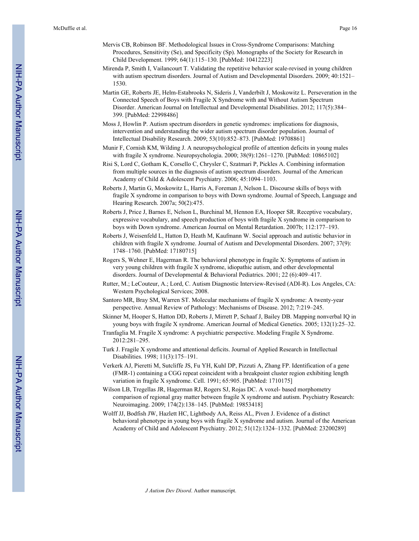- Mervis CB, Robinson BF. Methodological Issues in Cross-Syndrome Comparisons: Matching Procedures, Sensitivity (Se), and Specificity (Sp). Monographs of the Society for Research in Child Development. 1999; 64(1):115–130. [PubMed: 10412223]
- Mirenda P, Smith I, Vailancourt T. Validating the repetitive behavior scale-revised in young children with autism spectrum disorders. Journal of Autism and Developmental Disorders. 2009; 40:1521– 1530.
- Martin GE, Roberts JE, Helm-Estabrooks N, Sideris J, Vanderbilt J, Moskowitz L. Perseveration in the Connected Speech of Boys with Fragile X Syndrome with and Without Autism Spectrum Disorder. American Journal on Intellectual and Developmental Disabilities. 2012; 117(5):384– 399. [PubMed: 22998486]
- Moss J, Howlin P. Autism spectrum disorders in genetic syndromes: implications for diagnosis, intervention and understanding the wider autism spectrum disorder population. Journal of Intellectual Disability Research. 2009; 53(10):852–873. [PubMed: 19708861]
- Munir F, Cornish KM, Wilding J. A neuropsychological profile of attention deficits in young males with fragile X syndrome. Neuropsychologia. 2000; 38(9):1261–1270. [PubMed: 10865102]
- Risi S, Lord C, Gotham K, Corsello C, Chrysler C, Szatmari P, Pickles A. Combining information from multiple sources in the diagnosis of autism spectrum disorders. Journal of the American Academy of Child & Adolescent Psychiatry. 2006; 45:1094–1103.
- Roberts J, Martin G, Moskowitz L, Harris A, Foreman J, Nelson L. Discourse skills of boys with fragile X syndrome in comparison to boys with Down syndrome. Journal of Speech, Language and Hearing Research. 2007a; 50(2):475.
- Roberts J, Price J, Barnes E, Nelson L, Burchinal M, Hennon EA, Hooper SR. Receptive vocabulary, expressive vocabulary, and speech production of boys with fragile X syndrome in comparison to boys with Down syndrome. American Journal on Mental Retardation. 2007b; 112:177–193.
- Roberts J, Weisenfeld L, Hatton D, Heath M, Kaufmann W. Social approach and autistic behavior in children with fragile X syndrome. Journal of Autism and Developmental Disorders. 2007; 37(9): 1748–1760. [PubMed: 17180715]
- Rogers S, Wehner E, Hagerman R. The behavioral phenotype in fragile X: Symptoms of autism in very young children with fragile X syndrome, idiopathic autism, and other developmental disorders. Journal of Developmental & Behavioral Pediatrics. 2001; 22 (6):409–417.
- Rutter, M.; LeCouteur, A.; Lord, C. Autism Diagnostic Interview-Revised (ADI-R). Los Angeles, CA: Western Psychological Services; 2008.
- Santoro MR, Bray SM, Warren ST. Molecular mechanisms of fragile X syndrome: A twenty-year perspective. Annual Review of Pathology: Mechanisms of Disease. 2012; 7:219–245.
- Skinner M, Hooper S, Hatton DD, Roberts J, Mirrett P, Schaaf J, Bailey DB. Mapping nonverbal IQ in young boys with fragile X syndrome. American Journal of Medical Genetics. 2005; 132(1):25–32.
- Tranfaglia M. Fragile X syndrome: A psychiatric perspective. Modeling Fragile X Syndrome. 2012:281–295.
- Turk J. Fragile X syndrome and attentional deficits. Journal of Applied Research in Intellectual Disabilities. 1998; 11(3):175–191.
- Verkerk AJ, Pieretti M, Sutcliffe JS, Fu YH, Kuhl DP, Pizzuti A, Zhang FP. Identification of a gene (FMR-1) containing a CGG repeat coincident with a breakpoint cluster region exhibiting length variation in fragile X syndrome. Cell. 1991; 65:905. [PubMed: 1710175]
- Wilson LB, Tregellas JR, Hagerman RJ, Rogers SJ, Rojas DC. A voxel- based morphometry comparison of regional gray matter between fragile X syndrome and autism. Psychiatry Research: Neuroimaging. 2009; 174(2):138–145. [PubMed: 19853418]
- Wolff JJ, Bodfish JW, Hazlett HC, Lightbody AA, Reiss AL, Piven J. Evidence of a distinct behavioral phenotype in young boys with fragile X syndrome and autism. Journal of the American Academy of Child and Adolescent Psychiatry. 2012; 51(12):1324–1332. [PubMed: 23200289]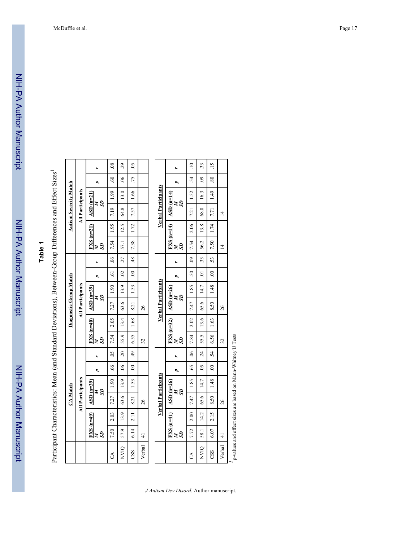| חוווח               |
|---------------------|
|                     |
|                     |
|                     |
|                     |
|                     |
| ້ເ                  |
|                     |
|                     |
|                     |
|                     |
| i<br>S              |
|                     |
|                     |
| í                   |
| ֞֝׆<br>֧֪֢֚֚֟֜֞֞֞֞֞ |
|                     |
|                     |
|                     |
|                     |
|                     |
|                     |

NIH-PA Author Manuscript

NIH-PA Author Manuscript

# **Table 1**

Participant Characteristics: Mean (and Standard Deviations), Between-Group Differences and Effect Sizes −.

|                |                |             | <b>CA</b> Match         |      |               |                |           |             | Diagnostic Group Match     |      |                |                 |             |                  |                         | <b>Autism Severity Match</b> |            |                           |
|----------------|----------------|-------------|-------------------------|------|---------------|----------------|-----------|-------------|----------------------------|------|----------------|-----------------|-------------|------------------|-------------------------|------------------------------|------------|---------------------------|
|                |                |             | <b>All Participants</b> |      |               |                |           |             | <b>All Participants</b>    |      |                |                 |             |                  | <b>All Participants</b> |                              |            |                           |
|                | S <sub>2</sub> | $FXS(n=49)$ | $\angle$ ASD (n=39)     | SD   |               |                | S         | $FXS(n=40)$ | $ASD$ (n=39)<br>SD         |      |                |                 | S)          | $FXS$ ( $n=21$ ) | $ASD (n=21)$            | S                            |            |                           |
| S              | 7.50           | 2.03        | 7.27   1.90             |      | $-66$         | $\frac{1}{20}$ | 7.54 2.05 |             | 7.27   1.90                |      | $\overline{6}$ | $\frac{1}{100}$ | 7.54   1.95 |                  | 7.19   1.99             |                              | 60         | $\frac{8}{3}$             |
| <b>NVIQ</b>    | 57.9           | 13.9        | 63.6                    | 13.9 | $\frac{1}{2}$ | $\frac{20}{ }$ | 55.9      | 13.4        | 63.6                       | 13.9 | $\frac{1}{2}$  | 27              | 57.1        | 12.5             | 64.8                    | 13.0                         | $^{06}$    | 29                        |
| $\frac{0}{25}$ | 6.14           | 2.11        | 8.21                    | 1.53 | $\frac{1}{2}$ | $\frac{1}{2}$  | 6.55      | 1.68        | 8.21                       | 1.53 | $\frac{1}{2}$  | $-48$           | 7.38        | 1.72             | 7.57                    | 1.66                         | $\ddot{z}$ | $\widetilde{\mathcal{S}}$ |
| Verbal         | $\frac{1}{4}$  |             | 26                      |      |               |                | 32        |             | 26                         |      |                |                 |             |                  |                         |                              |            |                           |
|                |                |             |                         |      |               |                |           |             |                            |      |                |                 |             |                  |                         |                              |            |                           |
|                |                |             | Verbal Participants     |      |               |                |           |             | <b>Verbal Participants</b> |      |                |                 |             |                  |                         | Verbal Participants          |            |                           |

|                            |                                                                                   |                                                                                                                                                                                                                               | $\frac{33}{2}$                                                                                                 | $\frac{15}{1}$ |                |  |
|----------------------------|-----------------------------------------------------------------------------------|-------------------------------------------------------------------------------------------------------------------------------------------------------------------------------------------------------------------------------|----------------------------------------------------------------------------------------------------------------|----------------|----------------|--|
|                            |                                                                                   |                                                                                                                                                                                                                               |                                                                                                                | $\frac{1}{8}$  |                |  |
| <b>Verbal Participants</b> | 55                                                                                |                                                                                                                                                                                                                               |                                                                                                                |                |                |  |
|                            | $\text{FXS}$ (n=14) $\Delta \text{SD}$ (n=14)                                     |                                                                                                                                                                                                                               |                                                                                                                |                |                |  |
|                            |                                                                                   |                                                                                                                                                                                                                               |                                                                                                                |                |                |  |
|                            | SD                                                                                |                                                                                                                                                                                                                               |                                                                                                                |                |                |  |
|                            |                                                                                   |                                                                                                                                                                                                                               |                                                                                                                |                |                |  |
|                            |                                                                                   |                                                                                                                                                                                                                               |                                                                                                                |                |                |  |
| <b>Verbal Participants</b> | $\frac{5}{N}$                                                                     |                                                                                                                                                                                                                               |                                                                                                                |                |                |  |
|                            | $\text{FXS}$ (n=32) $\left  \right $ ASD (n=26)                                   |                                                                                                                                                                                                                               |                                                                                                                |                | 26             |  |
|                            |                                                                                   |                                                                                                                                                                                                                               |                                                                                                                |                |                |  |
|                            |                                                                                   |                                                                                                                                                                                                                               |                                                                                                                |                | $\mathfrak{Z}$ |  |
|                            |                                                                                   |                                                                                                                                                                                                                               |                                                                                                                |                |                |  |
|                            |                                                                                   |                                                                                                                                                                                                                               |                                                                                                                |                |                |  |
| <b>Verbal Participants</b> | S                                                                                 |                                                                                                                                                                                                                               |                                                                                                                |                |                |  |
|                            |                                                                                   |                                                                                                                                                                                                                               |                                                                                                                |                | 26             |  |
|                            | $\begin{array}{c c}\n\text{FXS (n=41)} & \text{ASD (n=26)} \\ M & M\n\end{array}$ |                                                                                                                                                                                                                               |                                                                                                                |                |                |  |
|                            | S <sub>2</sub>                                                                    |                                                                                                                                                                                                                               |                                                                                                                |                |                |  |
|                            |                                                                                   | CA   7.72   2.00   7.47   7.85   85   85   85   7.84   2.02   7.47   7.85   30   30   30   7.54   7.51   1.52   7.54   1.52   7.54   7.54   7.52   7.52   7.52   7.52   7.52   7.52   7.52   7.52   7.52   7.52   7.52   7.52 | NVIQ   58.1   14.2   65.6   14.7   15.7   52.5   13.6   65.6   14.7   01   33   56.2   13.8   68.0   16.3   09 |                | Verbal   41    |  |

p-values and effect sizes are based on Mann-Whitney U Tests *1*p-values and effect sizes are based on Mann-Whitney U Tests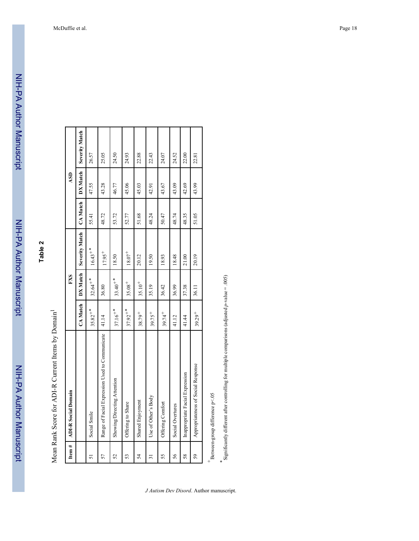NIH-PA Author Manuscript

NIH-PA Author Manuscript

| Item $#$ | <b>ADI-R</b> Social Domain                     |              | <b>FXS</b>            |                |          | ASD      |                       |
|----------|------------------------------------------------|--------------|-----------------------|----------------|----------|----------|-----------------------|
|          |                                                | CA Match     | DX Match              | Severity Match | CA Match | DX Match | <b>Severity Match</b> |
| 51       | Social Smile                                   | $35.82^{+*}$ | $32.64$ <sup>**</sup> | $16.43^{+*}$   | 55.41    | 47.55    | 26.57                 |
| 57       | Range of Facial Expression Used to Communicate | 41.14        | 36.80                 | $17.95+$       | 48.72    | 43.28    | 25.05                 |
| 52       | Showing/Directing Attention                    | $37.16^{+*}$ | $33.40^{+*}$          | 18.50          | 53.72    | 46.77    | 24.50                 |
| 53       | Offering to Share                              | $37.92^{+*}$ | $35.08 +$             | $18.07 +$      | 52.77    | 45.06    | 24.93                 |
| 54       | Shared Enjoyment                               | $38.79^{+}$  | $35.10 +$             | 20.12          | 51.68    | 45.03    | 22.88                 |
| ಸ        | Use of Other's Body                            | $39.75^{+}$  | 35.19                 | 19.50          | 48.24    | 42.91    | 22.43                 |
| 55       | Offering Comfort                               | $39.74^{+}$  | 36.42                 | 18.93          | 50.47    | 43.67    | 24.07                 |
| 56       | Social Overtures                               | 41.12        | 36.99                 | 18.48          | 48.74    | 43.09    | 24.52                 |
| 58       | Inappropriate Facial Expression                | 41.44        | 37.38                 | 21.00          | 48.35    | 42.69    | 22.00                 |
| 59       | Appropriateness of Social Response             | $39.29^{+}$  | 36.11                 | 20.19          | 51.05    | 43.99    | 22.81                 |
|          | $+$ Baturaan-araun difference n $\leq$ 05      |              |                       |                |          |          |                       |

Between-group difference p<.05 Between-group difference p<.05

*J Autism Dev Disord*. Author manuscript.

*\** Significantly different after controlling for multiple comparisons (adjusted *p*-value = .005)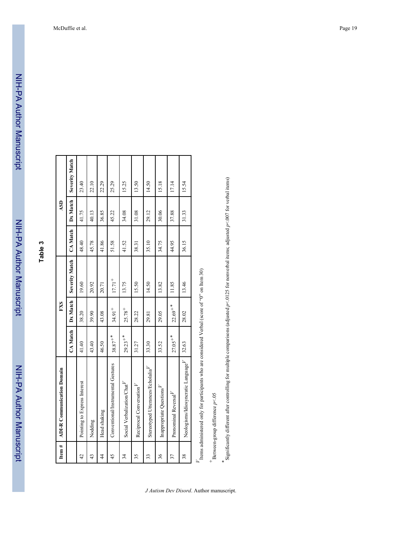| <u>:</u><br>:<br>:                                                                       |
|------------------------------------------------------------------------------------------|
|                                                                                          |
|                                                                                          |
|                                                                                          |
|                                                                                          |
|                                                                                          |
|                                                                                          |
|                                                                                          |
|                                                                                          |
|                                                                                          |
|                                                                                          |
|                                                                                          |
|                                                                                          |
|                                                                                          |
|                                                                                          |
| -<br>-<br>-<br>-<br>-<br>-<br>-<br>-<br><br><br><br><br><br><br><br><br><br><br><br><br> |
|                                                                                          |
|                                                                                          |
|                                                                                          |

**Table 3**

NIH-PA Author Manuscript

NIH-PA Author Manuscript

| Item $#$        | <b>ADI-R Communication Domain</b>              |                       | <b>FXS</b>            |                |          | ASD      |                       |
|-----------------|------------------------------------------------|-----------------------|-----------------------|----------------|----------|----------|-----------------------|
|                 |                                                | <b>CA</b> Match       | Dx Match              | Severity Match | CA Match | Dx Match | <b>Severity Match</b> |
| $\overline{42}$ | Pointing to Express Interest                   | 41.40                 | 38.20                 | 19.60          | 48.40    | 41.75    | 23.40                 |
| 43              | Nodding                                        | 43.40                 | 39.90                 | 20.92          | 45.78    | 40.13    | 22.10                 |
| $\frac{4}{3}$   | Head shaking                                   | 46.50                 | 43.08                 | 20.71          | 41.86    | 36.85    | 22.29                 |
| 45              | Conventional/Instrumental Gestures             | $38.87^{+*}$          | $34.91$ <sup>+</sup>  | $17.71^{+}$    | 51.58    | 45.22    | 25.29                 |
| 34              | Social Verbalization/Chat                      | $29.23$ <sup>**</sup> | $25.78^{+}$           | 13.75          | 41.52    | 34.08    | 15.25                 |
| 35              | Reciprocal Conversation <sup>1</sup>           | 31.27                 | 28.22                 | 15.50          | 38.31    | 31.08    | 13.50                 |
| 33              | Stereotyped Utterances/Echolalia <sup>V</sup>  | 33.30                 | 29.81                 | 14.50          | 35.10    | 29.12    | 14.50                 |
| 36              | Inappropriate Questions                        | 33.52                 | 29.05                 | 13.82          | 34.75    | 30.06    | 15.18                 |
| 37              | Pronominal Reversal $V$                        | $27.05^{+*}$          | $22.69$ <sup>+*</sup> | 11.85          | 44.95    | 37.88    | 17.14                 |
| 38              | Neologisms/Idiosyncratic Language <sup>r</sup> | 32.63                 | 28.02                 | 13.46          | 36.15    | 31.33    | 15.54                 |
|                 |                                                |                       |                       |                |          |          |                       |

Items administered only for participants who are considered Verbal (score of "0" on Item 30) *V*Items administered only for participants who are considered Verbal (score of "0" on Item 30)

Between-group difference *p*<.05

*+*

*\** Significantly different after controlling for multiple comparisons (adjusted *p*<.0125 for nonverbal items; adjusted *p*<.007 for verbal items)